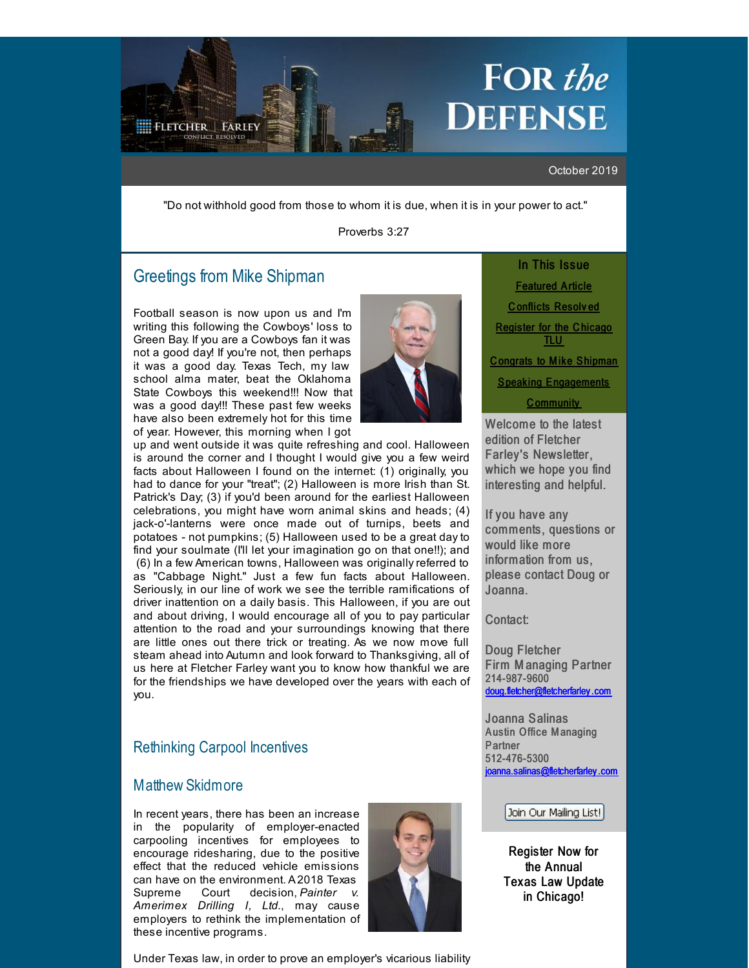# FOR the **DEFENSE**

#### October 2019

"Do not withhold good from those to whom it is due, when it is in your power to act."

Proverbs 3:27

# Greetings from Mike [Shipman](http://r20.rs6.net/tn.jsp?f=001B-IzGNxzjP5KMJxJzU3xzkG1SvYXbUSDDRyIb-NyVvwQiCcPW3NxsNO_JKaJutTW08VK4uOCAPU7Djm6QRc1AmtvEKOkeN6Ho32YnRErDRoToC1a2E6m6C6yCtWJyFXNsb6DgZwniXld4MF_2M8JajwtxJ4vaoT2pG5RY6pUFNmWaf7Rb6rvNbePOjeS-79GWf96bGNtH5RaPYfO6HP8YA==&c=&ch=)

<span id="page-0-0"></span>**FLETCHER | FARLEY** 

Football season is now upon us and I'm writing this following the Cowboys' loss to Green Bay. If you are a Cowboys fan it was not a good day! If you're not, then perhaps it was a good day. Texas Tech, my law school alma mater, beat the Oklahoma State Cowboys this weekend!!! Now that was a good day!!! These past few weeks have also been extremely hot for this time of year. However, this morning when I got



up and went outside it was quite refreshing and cool. Halloween is around the corner and I thought I would give you a few weird facts about Halloween I found on the internet: (1) originally, you had to dance for your "treat"; (2) Halloween is more Irish than St. Patrick's Day; (3) if you'd been around for the earliest Halloween celebrations, you might have worn animal skins and heads; (4) jack-o'-lanterns were once made out of turnips, beets and potatoes - not pumpkins; (5) Halloween used to be a great day to find your soulmate (I'll let your imagination go on that one!!); and (6) In a few American towns, Halloween was originally referred to as "Cabbage Night." Just a few fun facts about Halloween. Seriously, in our line of work we see the terrible ramifications of driver inattention on a daily basis. This Halloween, if you are out and about driving, I would encourage all of you to pay particular attention to the road and your surroundings knowing that there are little ones out there trick or treating. As we now move full steam ahead into Autumn and look forward to Thanksgiving, all of us here at Fletcher Farley want you to know how thankful we are for the friendships we have developed over the years with each of you.

# Rethinking Carpool Incentives

## Matthew [Skidmore](http://r20.rs6.net/tn.jsp?f=001B-IzGNxzjP5KMJxJzU3xzkG1SvYXbUSDDRyIb-NyVvwQiCcPW3NxsMoL8LiTCkEJviToNpEuDH7fyxaqSjAFz1IcPjf7UXugT3kAP8w1nuwxhXTCeCvHXVQcaft2csanjr7SmW24YwLBoH2refU8tcxmCElUpIWidbf4RGQb8Ac4H6bMnSORbpnrSIcBK1ItU5Puc88sLMM629ILYtsGEg==&c=&ch=)

In recent years, there has been an increase in the popularity of employer-enacted carpooling incentives for employees to encourage ridesharing, due to the positive effect that the reduced vehicle emissions can have on the environment. A2018 Texas Supreme Court decision, *Painter v. Amerimex Drilling I, Ltd.*, may cause employers to rethink the implementation of these incentive programs.



Under Texas law, in order to prove an employer's vicarious liability

In This Issue [Featured](#page-0-0) Article C [onflicts](#page-0-0) Resolv ed [Register](#page-0-0) for the Chicago TLU C ongrats to Mike [Shipman](#page-0-0) **Speaking [Engagements](#page-0-0)** C [ommunity](#page-0-0)

Welcome to the latest edition of Fletcher Farley's Newsletter, which we hope you find interesting and helpful.

If you have any comments, questions or would like more information from us, please contact Doug or Joanna.

## Contact:

Doug Fletcher Firm M anaging Partner 214-987-9600 [doug.fletcher@fletcherfarley](mailto:doug.fletcher@fletcherfarley.com) .com

Joanna Salinas Austin Office Managing Partner 512-476-5300 ioanna.salinas@fletcherfarley.com

#### Join Our Mailing List!

Register Now for the Annual Texas Law Update in Chicago!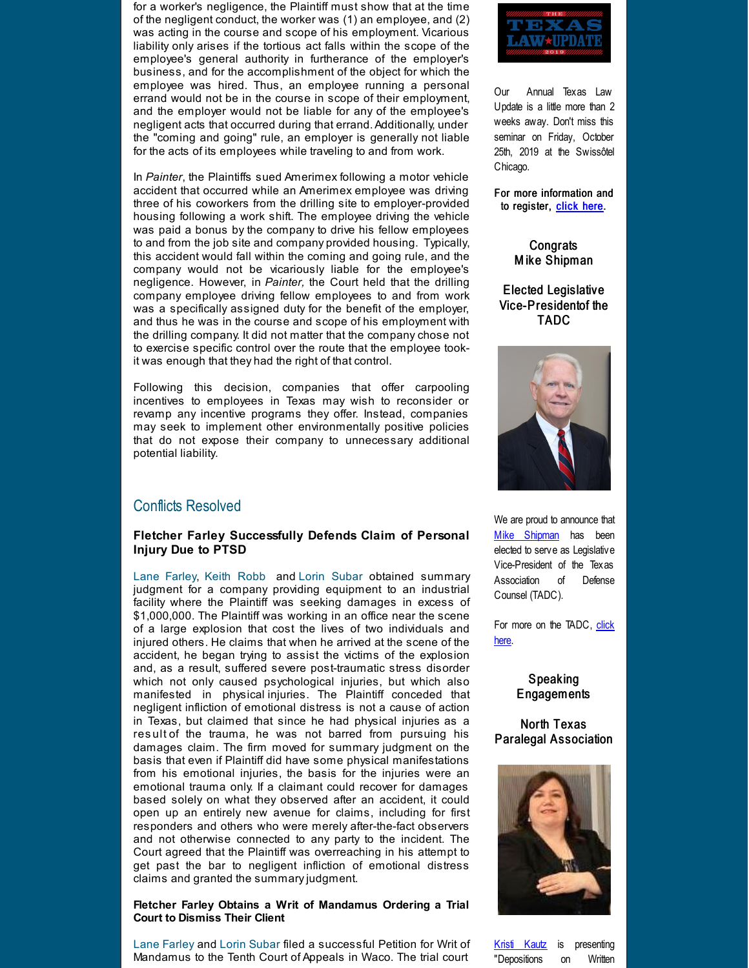for a worker's negligence, the Plaintiff must show that at the time of the negligent conduct, the worker was (1) an employee, and (2) was acting in the course and scope of his employment. Vicarious liability only arises if the tortious act falls within the scope of the employee's general authority in furtherance of the employer's business, and for the accomplishment of the object for which the employee was hired. Thus, an employee running a personal errand would not be in the course in scope of their employment, and the employer would not be liable for any of the employee's negligent acts that occurred during that errand.Additionally, under the "coming and going" rule, an employer is generally not liable for the acts of its employees while traveling to and from work.

In *Painter*, the Plaintiffs sued Amerimex following a motor vehicle accident that occurred while an Amerimex employee was driving three of his coworkers from the drilling site to employer-provided housing following a work shift. The employee driving the vehicle was paid a bonus by the company to drive his fellow employees to and from the job site and company provided housing. Typically, this accident would fall within the coming and going rule, and the company would not be vicariously liable for the employee's negligence. However, in *Painter,* the Court held that the drilling company employee driving fellow employees to and from work was a specifically assigned duty for the benefit of the employer, and thus he was in the course and scope of his employment with the drilling company. It did not matter that the company chose not to exercise specific control over the route that the employee tookit was enough that they had the right of that control.

Following this decision, companies that offer carpooling incentives to employees in Texas may wish to reconsider or revamp any incentive programs they offer. Instead, companies may seek to implement other environmentally positive policies that do not expose their company to unnecessary additional potential liability.

## Conflicts Resolved

#### **Fletcher Farley Successfully Defends Claim of Personal Injury Due to PTSD**

Lane [Farley](http://r20.rs6.net/tn.jsp?f=001B-IzGNxzjP5KMJxJzU3xzkG1SvYXbUSDDRyIb-NyVvwQiCcPW3NxsAVXZZDHbPjtjnwrqAE-5IrnEmCIRFOewyBycITX4cL7-MpdAritoZYwQ-_nd6-wqoVsIrrJoBmDVZGhdzGsSvAhqkyVo8o4a7BX0MC1x1Hf_8PB_9FveebJREEBadM90mi22DL3WVtQRDursngPCKmHfzyljiEXdQ==&c=&ch=), Keith [Robb](http://r20.rs6.net/tn.jsp?f=001B-IzGNxzjP5KMJxJzU3xzkG1SvYXbUSDDRyIb-NyVvwQiCcPW3NxsE-o_G47jhEaJdo7D3L_CekeBWu5Z5-WaEB0lWBTEtKeH6zZAQyOGnaVBPmm0EDMbe6NiApPB_YDlNOEUqiegpWXxDHZX_x8MqHZdzRrnLnOYwzFKnWTpNKcXqVgkuzZlUIdoPnDItGS_9MQVqz7no757E-DRgwFjw==&c=&ch=) and Lorin [Subar](http://r20.rs6.net/tn.jsp?f=001B-IzGNxzjP5KMJxJzU3xzkG1SvYXbUSDDRyIb-NyVvwQiCcPW3NxsAtabMN3NfRHJegPV7qxMXm60-uB8_notvc6Mj1iJmFJWhlRkUDnhth7Sgc44MA8Zw7R34iN1TEIhZZgmiNe1JHbA94ilUqEQ9EX_5V3Px14MswUKEC9BH7xXmFrmSeoVf6vsyN43JCm6DqS3lxOXEs4JBYZ2BPN4Q==&c=&ch=) obtained summary judgment for a company providing equipment to an industrial facility where the Plaintiff was seeking damages in excess of \$1,000,000. The Plaintiff was working in an office near the scene of a large explosion that cost the lives of two individuals and injured others. He claims that when he arrived at the scene of the accident, he began trying to assist the victims of the explosion and, as a result, suffered severe post-traumatic stress disorder which not only caused psychological injuries, but which also manifested in physical injuries. The Plaintiff conceded that negligent infliction of emotional distress is not a cause of action in Texas, but claimed that since he had physical injuries as a res ult of the trauma, he was not barred from pursuing his damages claim. The firm moved for summary judgment on the basis that even if Plaintiff did have some physical manifestations from his emotional injuries, the basis for the injuries were an emotional trauma only. If a claimant could recover for damages based solely on what they observed after an accident, it could open up an entirely new avenue for claims, including for first responders and others who were merely after-the-fact observers and not otherwise connected to any party to the incident. The Court agreed that the Plaintiff was overreaching in his attempt to get past the bar to negligent infliction of emotional distress claims and granted the summaryjudgment.

#### **Fletcher Farley Obtains a Writ of Mandamus Ordering a Trial Court to Dismiss Their Client**

Lane [Farley](http://r20.rs6.net/tn.jsp?f=001B-IzGNxzjP5KMJxJzU3xzkG1SvYXbUSDDRyIb-NyVvwQiCcPW3NxsAVXZZDHbPjtjnwrqAE-5IrnEmCIRFOewyBycITX4cL7-MpdAritoZYwQ-_nd6-wqoVsIrrJoBmDVZGhdzGsSvAhqkyVo8o4a7BX0MC1x1Hf_8PB_9FveebJREEBadM90mi22DL3WVtQRDursngPCKmHfzyljiEXdQ==&c=&ch=) and Lorin [Subar](http://r20.rs6.net/tn.jsp?f=001B-IzGNxzjP5KMJxJzU3xzkG1SvYXbUSDDRyIb-NyVvwQiCcPW3NxsAtabMN3NfRHJegPV7qxMXm60-uB8_notvc6Mj1iJmFJWhlRkUDnhth7Sgc44MA8Zw7R34iN1TEIhZZgmiNe1JHbA94ilUqEQ9EX_5V3Px14MswUKEC9BH7xXmFrmSeoVf6vsyN43JCm6DqS3lxOXEs4JBYZ2BPN4Q==&c=&ch=) filed a successful Petition for Writ of Mandamus to the Tenth Court of Appeals in Waco. The trial court



Our Annual Texas Law Update is a little more than 2 weeks away. Don't miss this seminar on Friday, October 25th, 2019 at the Swissôtel Chicago.

For more information and to register, [click](http://r20.rs6.net/tn.jsp?f=001B-IzGNxzjP5KMJxJzU3xzkG1SvYXbUSDDRyIb-NyVvwQiCcPW3NxsOhv745T0N6l4BVCbazA4OcWFjo4BYkyrgXXi0VN6klJhn3LdC-9apjTwiaHpOo6axvD1wICMcXfKBH5k-mOjMHd6nmNPv4Hf7o-z1UxBQwtMICmcZlh6O_TdyLDyrndRGcqxHLtmORTCEzY1RzOYyy6XgE-3e1r6GtchGJmovFDrwLcehpQgOfnmByrfprHBiiH0UkTOYnA&c=&ch=) here.

> **Congrats** M ike Shipman

Elected Legislative Vice-Presidentof the TADC



We are proud to announce that Mike [Shipman](http://r20.rs6.net/tn.jsp?f=001B-IzGNxzjP5KMJxJzU3xzkG1SvYXbUSDDRyIb-NyVvwQiCcPW3NxsNO_JKaJutTW08VK4uOCAPU7Djm6QRc1AmtvEKOkeN6Ho32YnRErDRoToC1a2E6m6C6yCtWJyFXNsb6DgZwniXld4MF_2M8JajwtxJ4vaoT2pG5RY6pUFNmWaf7Rb6rvNbePOjeS-79GWf96bGNtH5RaPYfO6HP8YA==&c=&ch=) has been elected to serve as Legislative Vice-President of the Texas Association of Defense Counsel (TADC).

For more on the [TADC,](http://r20.rs6.net/tn.jsp?f=001B-IzGNxzjP5KMJxJzU3xzkG1SvYXbUSDDRyIb-NyVvwQiCcPW3NxsBxoV7UwDzbVThK1mEn2npVqD4-2n6FTGMbfI--NTrcH2MdMj-3EvQh8eulJAyDnWh1phuHa9zAO6Z2y8aK7XrtLFcPTfpWUlzjFuFJr65dI&c=&ch=) click here.

#### Speaking Engagements

#### North Texas Paralegal Association



Kristi [Kautz](http://r20.rs6.net/tn.jsp?f=001B-IzGNxzjP5KMJxJzU3xzkG1SvYXbUSDDRyIb-NyVvwQiCcPW3NxsNO_JKaJutTWMlaWpH54tAscKsdw1nQ_bc6asr6rDx6q0BfwfyP5Aa4E_iQllW0N4GM4PVxyYoaj7cuZjK8jXkJ2bH6D3_6AetqxtB4O5T8VYVXwUocRy3X6EI-i-ddgAfbaBimfOcnpj3uMP0G59Rgs0OpFGRdV6A==&c=&ch=) is presenting "Depositions on Written